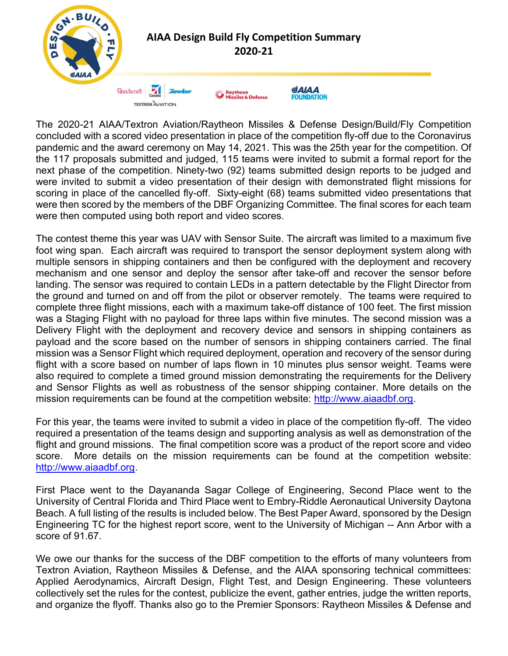

The 2020-21 AIAA/Textron Aviation/Raytheon Missiles & Defense Design/Build/Fly Competition concluded with a scored video presentation in place of the competition fly-off due to the Coronavirus pandemic and the award ceremony on May 14, 2021. This was the 25th year for the competition. Of the 117 proposals submitted and judged, 115 teams were invited to submit a formal report for the next phase of the competition. Ninety-two (92) teams submitted design reports to be judged and were invited to submit a video presentation of their design with demonstrated flight missions for scoring in place of the cancelled fly-off. Sixty-eight (68) teams submitted video presentations that were then scored by the members of the DBF Organizing Committee. The final scores for each team were then computed using both report and video scores.

The contest theme this year was UAV with Sensor Suite. The aircraft was limited to a maximum five foot wing span. Each aircraft was required to transport the sensor deployment system along with multiple sensors in shipping containers and then be configured with the deployment and recovery mechanism and one sensor and deploy the sensor after take-off and recover the sensor before landing. The sensor was required to contain LEDs in a pattern detectable by the Flight Director from the ground and turned on and off from the pilot or observer remotely. The teams were required to complete three flight missions, each with a maximum take-off distance of 100 feet. The first mission was a Staging Flight with no payload for three laps within five minutes. The second mission was a Delivery Flight with the deployment and recovery device and sensors in shipping containers as payload and the score based on the number of sensors in shipping containers carried. The final mission was a Sensor Flight which required deployment, operation and recovery of the sensor during flight with a score based on number of laps flown in 10 minutes plus sensor weight. Teams were also required to complete a timed ground mission demonstrating the requirements for the Delivery and Sensor Flights as well as robustness of the sensor shipping container. More details on the mission requirements can be found at the competition website: http://www.aiaadbf.org.

For this year, the teams were invited to submit a video in place of the competition fly-off. The video required a presentation of the teams design and supporting analysis as well as demonstration of the flight and ground missions. The final competition score was a product of the report score and video score. More details on the mission requirements can be found at the competition website: http://www.aiaadbf.org.

First Place went to the Dayananda Sagar College of Engineering, Second Place went to the University of Central Florida and Third Place went to Embry-Riddle Aeronautical University Daytona Beach. A full listing of the results is included below. The Best Paper Award, sponsored by the Design Engineering TC for the highest report score, went to the University of Michigan -- Ann Arbor with a score of 91.67.

We owe our thanks for the success of the DBF competition to the efforts of many volunteers from Textron Aviation, Raytheon Missiles & Defense, and the AIAA sponsoring technical committees: Applied Aerodynamics, Aircraft Design, Flight Test, and Design Engineering. These volunteers collectively set the rules for the contest, publicize the event, gather entries, judge the written reports, and organize the flyoff. Thanks also go to the Premier Sponsors: Raytheon Missiles & Defense and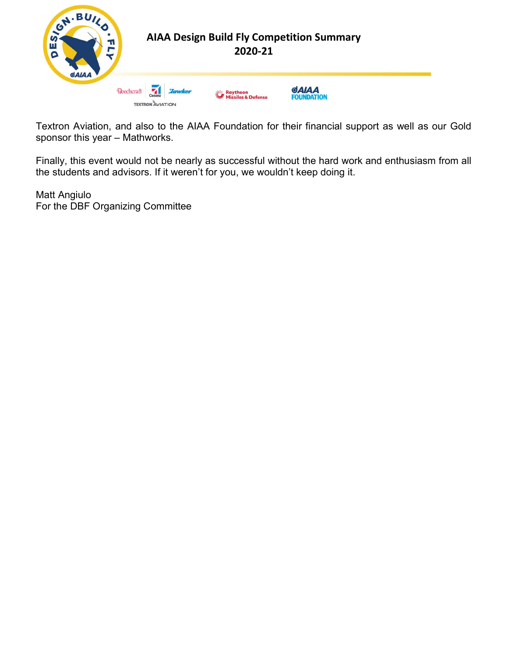

Textron Aviation, and also to the AIAA Foundation for their financial support as well as our Gold sponsor this year – Mathworks.

Finally, this event would not be nearly as successful without the hard work and enthusiasm from all the students and advisors. If it weren't for you, we wouldn't keep doing it.

Matt Angiulo For the DBF Organizing Committee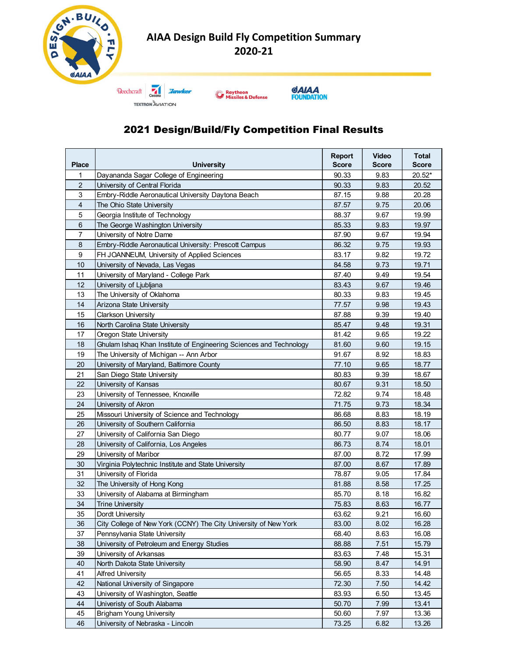





#### 2021 Design/Build/Fly Competition Final Results

|                     | Beechcraft 7<br><b>Raytheon</b><br><b>Missiles &amp; Defense</b><br><b>TEXTRON AVIATION</b>                   |                |              | A. BUILD<br><b>AIAA Design Build Fly Competition Summary</b><br>T<br>г<br>2020-21 |  |  |  |  |  |  |  |
|---------------------|---------------------------------------------------------------------------------------------------------------|----------------|--------------|-----------------------------------------------------------------------------------|--|--|--|--|--|--|--|
|                     | <b>GAIAA</b><br><b>FOUNDATION</b><br><b>2021 Design/Build/Fly Competition Final Results</b>                   |                |              |                                                                                   |  |  |  |  |  |  |  |
|                     |                                                                                                               | <b>Report</b>  | <b>Video</b> | <b>Total</b>                                                                      |  |  |  |  |  |  |  |
| <b>Place</b>        | <b>University</b>                                                                                             | <b>Score</b>   | <b>Score</b> | <b>Score</b>                                                                      |  |  |  |  |  |  |  |
|                     | Dayananda Sagar College of Engineering                                                                        | 90.33          | 9.83         | $20.52*$                                                                          |  |  |  |  |  |  |  |
| $\overline{2}$<br>3 | University of Central Florida<br>Embry-Riddle Aeronautical University Daytona Beach                           | 90.33<br>87.15 | 9.83<br>9.88 | 20.52<br>20.28                                                                    |  |  |  |  |  |  |  |
| 4                   | The Ohio State University                                                                                     | 87.57          | 9.75         | 20.06                                                                             |  |  |  |  |  |  |  |
| 5                   | Georgia Institute of Technology                                                                               | 88.37          | 9.67         | 19.99                                                                             |  |  |  |  |  |  |  |
| 6                   | The George Washington University                                                                              | 85.33          | 9.83         | 19.97                                                                             |  |  |  |  |  |  |  |
| $\overline{7}$      | University of Notre Dame                                                                                      | 87.90          | 9.67         | 19.94                                                                             |  |  |  |  |  |  |  |
| 8                   | Embry-Riddle Aeronautical University: Prescott Campus                                                         | 86.32          | 9.75         | 19.93                                                                             |  |  |  |  |  |  |  |
| 9                   | FH JOANNEUM, University of Applied Sciences                                                                   | 83.17          | 9.82         | 19.72                                                                             |  |  |  |  |  |  |  |
| 10<br>11            | University of Nevada, Las Vegas<br>University of Maryland - College Park                                      | 84.58<br>87.40 | 9.73<br>9.49 | 19.71<br>19.54                                                                    |  |  |  |  |  |  |  |
| 12                  | University of Ljubljana                                                                                       | 83.43          | 9.67         | 19.46                                                                             |  |  |  |  |  |  |  |
| 13                  | The University of Oklahoma                                                                                    | 80.33          | 9.83         | 19.45                                                                             |  |  |  |  |  |  |  |
| 14                  | Arizona State University                                                                                      | 77.57          | 9.98         | 19.43                                                                             |  |  |  |  |  |  |  |
| 15                  | <b>Clarkson University</b>                                                                                    | 87.88          | 9.39         | 19.40                                                                             |  |  |  |  |  |  |  |
| 16                  | North Carolina State University                                                                               | 85.47          | 9.48         | 19.31                                                                             |  |  |  |  |  |  |  |
| 17                  | Oregon State University                                                                                       | 81.42          | 9.65         | 19.22                                                                             |  |  |  |  |  |  |  |
| 18<br>19            | Ghulam Ishaq Khan Institute of Engineering Sciences and Technology<br>The University of Michigan -- Ann Arbor | 81.60<br>91.67 | 9.60<br>8.92 | 19.15<br>18.83                                                                    |  |  |  |  |  |  |  |
| 20                  | University of Maryland, Baltimore County                                                                      | 77.10          | 9.65         | 18.77                                                                             |  |  |  |  |  |  |  |
| 21                  | San Diego State University                                                                                    | 80.83          | 9.39         | 18.67                                                                             |  |  |  |  |  |  |  |
| 22                  | University of Kansas                                                                                          | 80.67          | 9.31         | 18.50                                                                             |  |  |  |  |  |  |  |
| 23                  | University of Tennessee, Knoxville                                                                            | 72.82          | 9.74         | 18.48                                                                             |  |  |  |  |  |  |  |
| 24                  | University of Akron                                                                                           | 71.75          | 9.73         | 18.34                                                                             |  |  |  |  |  |  |  |
| 25                  | Missouri University of Science and Technology                                                                 | 86.68          | 8.83         | 18.19                                                                             |  |  |  |  |  |  |  |
| 26                  | University of Southern California                                                                             | 86.50          | 8.83         | 18.17                                                                             |  |  |  |  |  |  |  |
| 27                  | University of California San Diego                                                                            | 80.77          | 9.07         | 18.06                                                                             |  |  |  |  |  |  |  |
| 28<br>29            | University of California, Los Angeles<br>University of Maribor                                                | 86.73<br>87.00 | 8.74<br>8.72 | 18.01<br>17.99                                                                    |  |  |  |  |  |  |  |
| 30                  | Virginia Polytechnic Institute and State University                                                           | 87.00          | 8.67         | 17.89                                                                             |  |  |  |  |  |  |  |
| 31                  | University of Florida                                                                                         | 78.87          | 9.05         | 17.84                                                                             |  |  |  |  |  |  |  |
| 32                  | The University of Hong Kong                                                                                   | 81.88          | 8.58         | 17.25                                                                             |  |  |  |  |  |  |  |
| 33                  | University of Alabama at Birmingham                                                                           | 85.70          | 8.18         | 16.82                                                                             |  |  |  |  |  |  |  |
| 34                  | <b>Trine University</b>                                                                                       | 75.83          | 8.63         | 16.77                                                                             |  |  |  |  |  |  |  |
| 35                  | Dordt University                                                                                              | 63.62          | 9.21         | 16.60                                                                             |  |  |  |  |  |  |  |
| 36<br>37            | City College of New York (CCNY) The City University of New York                                               | 83.00          | 8.02         | 16.28                                                                             |  |  |  |  |  |  |  |
| 38                  | Pennsylvania State University<br>University of Petroleum and Energy Studies                                   | 68.40<br>88.88 | 8.63<br>7.51 | 16.08<br>15.79                                                                    |  |  |  |  |  |  |  |
| 39                  | University of Arkansas                                                                                        | 83.63          | 7.48         | 15.31                                                                             |  |  |  |  |  |  |  |
| 40                  | North Dakota State University                                                                                 | 58.90          | 8.47         | 14.91                                                                             |  |  |  |  |  |  |  |
| 41                  | <b>Alfred University</b>                                                                                      | 56.65          | 8.33         | 14.48                                                                             |  |  |  |  |  |  |  |
| 42                  | National University of Singapore                                                                              | 72.30          | 7.50         | 14.42                                                                             |  |  |  |  |  |  |  |
| 43                  | University of Washington, Seattle                                                                             | 83.93          | 6.50         | 13.45                                                                             |  |  |  |  |  |  |  |
| 44                  | Univeristy of South Alabama                                                                                   | 50.70          | 7.99         | 13.41                                                                             |  |  |  |  |  |  |  |
| 45                  | <b>Brigham Young University</b><br>University of Nebraska - Lincoln                                           | 50.60<br>73.25 | 7.97<br>6.82 | 13.36                                                                             |  |  |  |  |  |  |  |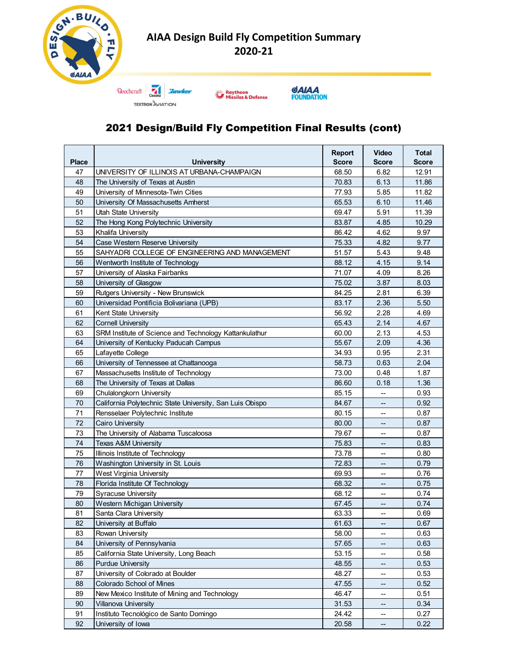



#### 2021 Design/Build Fly Competition Final Results (cont)

| <b>GAIAA</b> | <b>Beechcraft</b><br><b>Raytheon</b><br><b>Missiles &amp; Defense</b><br><b>TEXTRON AVIATION</b> |                |                                                      |                |  |  |  |  |
|--------------|--------------------------------------------------------------------------------------------------|----------------|------------------------------------------------------|----------------|--|--|--|--|
|              | <b>GAIAA</b><br><b>FOUNDATION</b><br>2021 Design/Build Fly Competition Final Results (cont)      |                |                                                      |                |  |  |  |  |
|              |                                                                                                  | <b>Report</b>  | <b>Video</b>                                         | <b>Total</b>   |  |  |  |  |
| <b>Place</b> | <b>University</b>                                                                                | <b>Score</b>   | <b>Score</b>                                         | <b>Score</b>   |  |  |  |  |
| 47           | UNIVERSITY OF ILLINOIS AT URBANA-CHAMPAIGN                                                       | 68.50          | 6.82                                                 | 12.91          |  |  |  |  |
| 48<br>49     | The University of Texas at Austin<br>University of Minnesota-Twin Cities                         | 70.83<br>77.93 | 6.13<br>5.85                                         | 11.86<br>11.82 |  |  |  |  |
| 50           | University Of Massachusetts Amherst                                                              | 65.53          | 6.10                                                 | 11.46          |  |  |  |  |
| 51           | Utah State University                                                                            | 69.47          | 5.91                                                 | 11.39          |  |  |  |  |
| 52           | The Hong Kong Polytechnic University                                                             | 83.87          | 4.85                                                 | 10.29          |  |  |  |  |
| 53           | Khalifa University                                                                               | 86.42          | 4.62                                                 | 9.97           |  |  |  |  |
| 54           | Case Western Reserve University                                                                  | 75.33          | 4.82                                                 | 9.77           |  |  |  |  |
| 55           | SAHYADRI COLLEGE OF ENGINEERING AND MANAGEMENT                                                   | 51.57          | 5.43                                                 | 9.48           |  |  |  |  |
| 56<br>57     | Wentworth Institute of Technology<br>University of Alaska Fairbanks                              | 88.12<br>71.07 | 4.15<br>4.09                                         | 9.14<br>8.26   |  |  |  |  |
| 58           | University of Glasgow                                                                            | 75.02          | 3.87                                                 | 8.03           |  |  |  |  |
| 59           | Rutgers University - New Brunswick                                                               | 84.25          | 2.81                                                 | 6.39           |  |  |  |  |
| 60           | Universidad Pontificia Bolivariana (UPB)                                                         | 83.17          | 2.36                                                 | 5.50           |  |  |  |  |
| 61           | Kent State University                                                                            | 56.92          | 2.28                                                 | 4.69           |  |  |  |  |
| 62           | <b>Cornell University</b>                                                                        | 65.43          | 2.14                                                 | 4.67           |  |  |  |  |
| 63           | SRM Institute of Science and Technology Kattankulathur                                           | 60.00          | 2.13                                                 | 4.53           |  |  |  |  |
| 64           | University of Kentucky Paducah Campus                                                            | 55.67          | 2.09                                                 | 4.36           |  |  |  |  |
| 65<br>66     | Lafayette College<br>University of Tennessee at Chattanooga                                      | 34.93<br>58.73 | 0.95<br>0.63                                         | 2.31<br>2.04   |  |  |  |  |
| 67           | Massachusetts Institute of Technology                                                            | 73.00          | 0.48                                                 | 1.87           |  |  |  |  |
| 68           | The University of Texas at Dallas                                                                | 86.60          | 0.18                                                 | 1.36           |  |  |  |  |
| 69           | Chulalongkorn University                                                                         | 85.15          | $\sim$                                               | 0.93           |  |  |  |  |
| 70           | California Polytechnic State University, San Luis Obispo                                         | 84.67          | $\overline{\phantom{a}}$                             | 0.92           |  |  |  |  |
| 71           | Rensselaer Polytechnic Institute                                                                 | 80.15          | $\overline{\phantom{a}}$                             | 0.87           |  |  |  |  |
| 72           | Cairo University                                                                                 | 80.00          | $\overline{\phantom{a}}$                             | 0.87           |  |  |  |  |
| 73           | The University of Alabama Tuscaloosa                                                             | 79.67          | $\overline{\phantom{a}}$                             | 0.87           |  |  |  |  |
| 74           | Texas A&M University<br>Illinois Institute of Technology                                         | 75.83          | $- -$                                                | 0.83           |  |  |  |  |
| 75<br>76     | Washington University in St. Louis                                                               | 73.78<br>72.83 | $\overline{\phantom{a}}$<br>$\overline{\phantom{a}}$ | 0.80<br>0.79   |  |  |  |  |
| 77           | West Virginia University                                                                         | 69.93          | $\overline{\phantom{a}}$                             | 0.76           |  |  |  |  |
| 78           | Florida Institute Of Technology                                                                  | 68.32          | $\overline{\phantom{a}}$                             | 0.75           |  |  |  |  |
| 79           | <b>Syracuse University</b>                                                                       | 68.12          | $\overline{\phantom{a}}$                             | 0.74           |  |  |  |  |
| 80           | Western Michigan University                                                                      | 67.45          | $\overline{\phantom{a}}$                             | 0.74           |  |  |  |  |
| 81           | Santa Clara University                                                                           | 63.33          | $\overline{\phantom{a}}$                             | 0.69           |  |  |  |  |
| 82           | University at Buffalo                                                                            | 61.63          | $\overline{\phantom{a}}$                             | 0.67           |  |  |  |  |
| 83           | Rowan University                                                                                 | 58.00          | $\overline{\phantom{a}}$                             | 0.63           |  |  |  |  |
| 84<br>85     | University of Pennsylvania<br>California State University, Long Beach                            | 57.65<br>53.15 | $\overline{\phantom{a}}$<br>$\overline{\phantom{a}}$ | 0.63<br>0.58   |  |  |  |  |
| 86           | <b>Purdue University</b>                                                                         | 48.55          | $\overline{\phantom{a}}$                             | 0.53           |  |  |  |  |
| 87           | University of Colorado at Boulder                                                                | 48.27          | $\mathcal{L}_{\mathcal{F}}$                          | 0.53           |  |  |  |  |
| 88           | Colorado School of Mines                                                                         | 47.55          | $\overline{\phantom{a}}$                             | 0.52           |  |  |  |  |
| 89           | New Mexico Institute of Mining and Technology                                                    | 46.47          | $\overline{\phantom{a}}$                             | 0.51           |  |  |  |  |
| 90           | <b>Villanova University</b>                                                                      | 31.53          | $\overline{\phantom{a}}$                             | 0.34           |  |  |  |  |
| 91           | Instituto Tecnológico de Santo Domingo                                                           | 24.42          | $\overline{\phantom{a}}$                             | 0.27           |  |  |  |  |
| 92           | University of Iowa                                                                               | 20.58          | $\overline{\phantom{a}}$                             | 0.22           |  |  |  |  |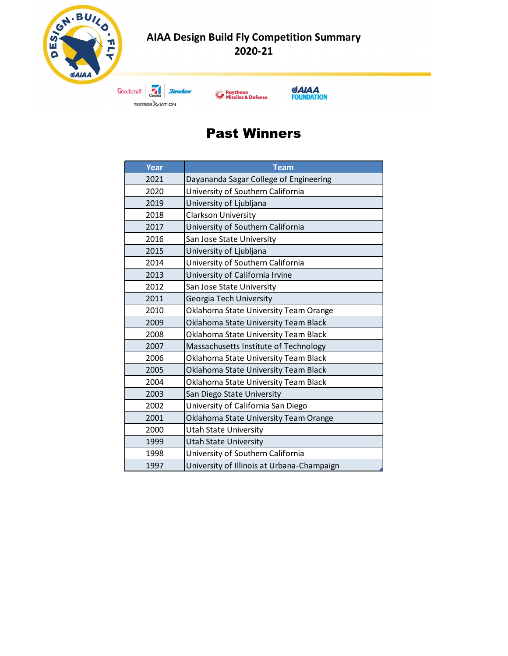



## Past Winners

| 2020-21                 |                                                                   |  |  |  |  |  |  |  |
|-------------------------|-------------------------------------------------------------------|--|--|--|--|--|--|--|
| <b>TEXTRON AVIATION</b> | GAIAA<br>Raytheon<br>Missiles & Defense<br><b>FOUNDATION</b>      |  |  |  |  |  |  |  |
|                         | <b>Past Winners</b>                                               |  |  |  |  |  |  |  |
| <b>Year</b>             | <b>Team</b>                                                       |  |  |  |  |  |  |  |
| 2021                    | Dayananda Sagar College of Engineering                            |  |  |  |  |  |  |  |
| 2020                    | University of Southern California                                 |  |  |  |  |  |  |  |
| 2019                    | University of Ljubljana                                           |  |  |  |  |  |  |  |
| 2018                    | Clarkson University                                               |  |  |  |  |  |  |  |
| 2017                    | University of Southern California                                 |  |  |  |  |  |  |  |
| 2016                    | San Jose State University                                         |  |  |  |  |  |  |  |
| 2015                    | University of Ljubljana                                           |  |  |  |  |  |  |  |
| 2014                    | University of Southern California                                 |  |  |  |  |  |  |  |
| 2013                    | University of California Irvine                                   |  |  |  |  |  |  |  |
| 2012                    | San Jose State University                                         |  |  |  |  |  |  |  |
| 2011                    | Georgia Tech University                                           |  |  |  |  |  |  |  |
| 2010                    | Oklahoma State University Team Orange                             |  |  |  |  |  |  |  |
| 2009                    | Oklahoma State University Team Black                              |  |  |  |  |  |  |  |
| 2008                    | Oklahoma State University Team Black                              |  |  |  |  |  |  |  |
| 2007                    | Massachusetts Institute of Technology                             |  |  |  |  |  |  |  |
| 2006                    | Oklahoma State University Team Black                              |  |  |  |  |  |  |  |
| 2005                    | Oklahoma State University Team Black                              |  |  |  |  |  |  |  |
| 2004                    | Oklahoma State University Team Black                              |  |  |  |  |  |  |  |
| 2003                    | San Diego State University<br>University of California San Diego  |  |  |  |  |  |  |  |
| 2002                    |                                                                   |  |  |  |  |  |  |  |
| 2001<br>2000            | Oklahoma State University Team Orange                             |  |  |  |  |  |  |  |
| 1999                    | <b>Utah State University</b>                                      |  |  |  |  |  |  |  |
| 1998                    | <b>Utah State University</b><br>University of Southern California |  |  |  |  |  |  |  |
|                         |                                                                   |  |  |  |  |  |  |  |
| 1997                    | University of Illinois at Urbana-Champaign                        |  |  |  |  |  |  |  |